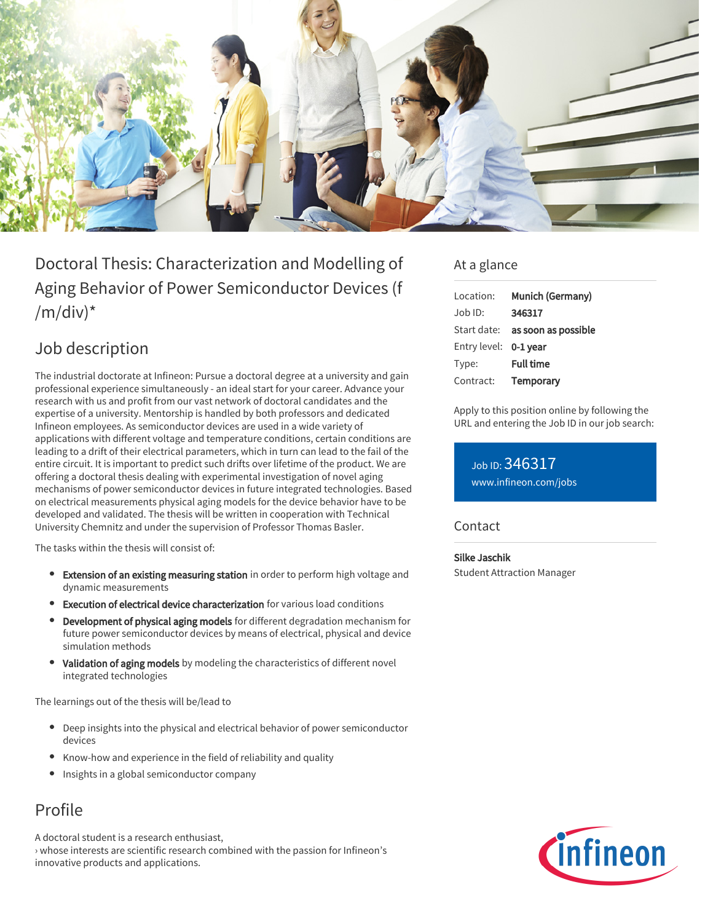

# Doctoral Thesis: Characterization and Modelling of Aging Behavior of Power Semiconductor Devices (f  $/m/div)^*$

### Job description

The industrial doctorate at Infineon: Pursue a doctoral degree at a university and gain professional experience simultaneously - an ideal start for your career. Advance your research with us and profit from our vast network of doctoral candidates and the expertise of a university. Mentorship is handled by both professors and dedicated Infineon employees. As semiconductor devices are used in a wide variety of applications with different voltage and temperature conditions, certain conditions are leading to a drift of their electrical parameters, which in turn can lead to the fail of the entire circuit. It is important to predict such drifts over lifetime of the product. We are offering a doctoral thesis dealing with experimental investigation of novel aging mechanisms of power semiconductor devices in future integrated technologies. Based on electrical measurements physical aging models for the device behavior have to be developed and validated. The thesis will be written in cooperation with Technical University Chemnitz and under the supervision of Professor Thomas Basler.

The tasks within the thesis will consist of:

- Extension of an existing measuring station in order to perform high voltage and dynamic measurements
- Execution of electrical device characterization for various load conditions
- Development of physical aging models for different degradation mechanism for future power semiconductor devices by means of electrical, physical and device simulation methods
- Validation of aging models by modeling the characteristics of different novel integrated technologies

The learnings out of the thesis will be/lead to

- Deep insights into the physical and electrical behavior of power semiconductor devices
- Know-how and experience in the field of reliability and quality
- **•** Insights in a global semiconductor company

## Profile

A doctoral student is a research enthusiast, › whose interests are scientific research combined with the passion for Infineon's innovative products and applications.

#### At a glance

| Location:             | Munich (Germany)                |
|-----------------------|---------------------------------|
| $Job$ ID:             | 346317                          |
|                       | Start date: as soon as possible |
| Entry level: 0-1 year |                                 |
| Type:                 | <b>Full time</b>                |
| Contract:             | Temporary                       |

Apply to this position online by following the URL and entering the Job ID in our job search:

Job ID: 346317 [www.infineon.com/jobs](https://www.infineon.com/jobs)

#### **Contact**

Silke Jaschik Student Attraction Manager